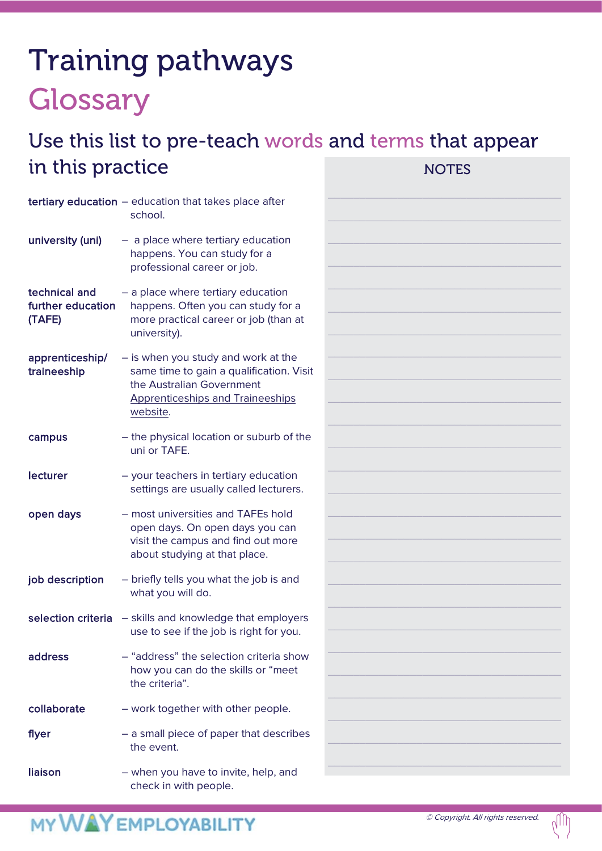# Training pathways **Glossary**

#### Use this list to pre-teach words and terms that appear in this practice NOTES

|                                              | tertiary education - education that takes place after<br>school.                                                                                                    |
|----------------------------------------------|---------------------------------------------------------------------------------------------------------------------------------------------------------------------|
| university (uni)                             | - a place where tertiary education<br>happens. You can study for a<br>professional career or job.                                                                   |
| technical and<br>further education<br>(TAFE) | - a place where tertiary education<br>happens. Often you can study for a<br>more practical career or job (than at<br>university).                                   |
| apprenticeship/<br>traineeship               | - is when you study and work at the<br>same time to gain a qualification. Visit<br>the Australian Government<br><b>Apprenticeships and Traineeships</b><br>website. |
| campus                                       | - the physical location or suburb of the<br>uni or TAFE.                                                                                                            |
| lecturer                                     | - your teachers in tertiary education<br>settings are usually called lecturers.                                                                                     |
| open days                                    | - most universities and TAFEs hold<br>open days. On open days you can<br>visit the campus and find out more<br>about studying at that place.                        |
| job description                              | - briefly tells you what the job is and<br>what you will do.                                                                                                        |
| selection criteria                           | - skills and knowledge that employers<br>use to see if the job is right for you.                                                                                    |
| address                                      | - "address" the selection criteria show<br>how you can do the skills or "meet<br>the criteria".                                                                     |
| collaborate                                  | - work together with other people.                                                                                                                                  |
| flyer                                        | - a small piece of paper that describes<br>the event.                                                                                                               |
| liaison                                      | - when you have to invite, help, and<br>check in with people.                                                                                                       |

|    | <b>NOTES</b> |  |  |
|----|--------------|--|--|
|    |              |  |  |
|    |              |  |  |
|    |              |  |  |
|    |              |  |  |
| it |              |  |  |
|    |              |  |  |
| e  |              |  |  |
|    |              |  |  |
|    |              |  |  |
|    |              |  |  |
|    |              |  |  |
|    |              |  |  |
|    |              |  |  |
|    |              |  |  |
| 5  |              |  |  |

 $\mathbb{d} \mathbb{D}$ 

\_\_\_\_\_\_\_\_\_\_\_\_\_\_\_\_\_\_\_\_\_\_\_\_\_\_\_\_\_\_\_\_\_\_\_\_\_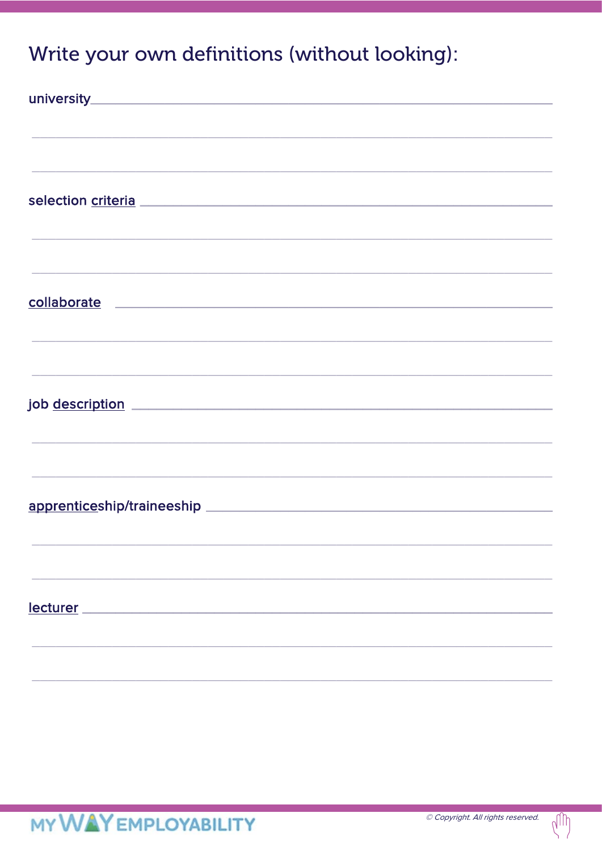#### Write your own definitions (without looking):

| <u> 1989 - Jan Samuel Barbara, margaret al II-lea (h. 1989).</u>                  |
|-----------------------------------------------------------------------------------|
|                                                                                   |
| <u> 1989 - Johann Stoff, amerikansk politiker (d. 1989)</u>                       |
|                                                                                   |
|                                                                                   |
|                                                                                   |
|                                                                                   |
| ,我们也不能在这里的时候,我们也不能在这里的时候,我们也不能会在这里的时候,我们也不能会在这里的时候,我们也不能会在这里的时候,我们也不能会在这里的时候,我们也不 |
| job <u>description</u>                                                            |
|                                                                                   |
| ,我们也不会有什么。""我们的人,我们也不会有什么?""我们的人,我们也不会有什么?""我们的人,我们也不会有什么?""我们的人,我们也不会有什么?""我们的人  |
|                                                                                   |
| <u> 1989 - Johann Stoff, amerikansk politiker (d. 1989)</u>                       |
|                                                                                   |
|                                                                                   |
|                                                                                   |
|                                                                                   |
|                                                                                   |
| lecturer                                                                          |
|                                                                                   |
|                                                                                   |
|                                                                                   |

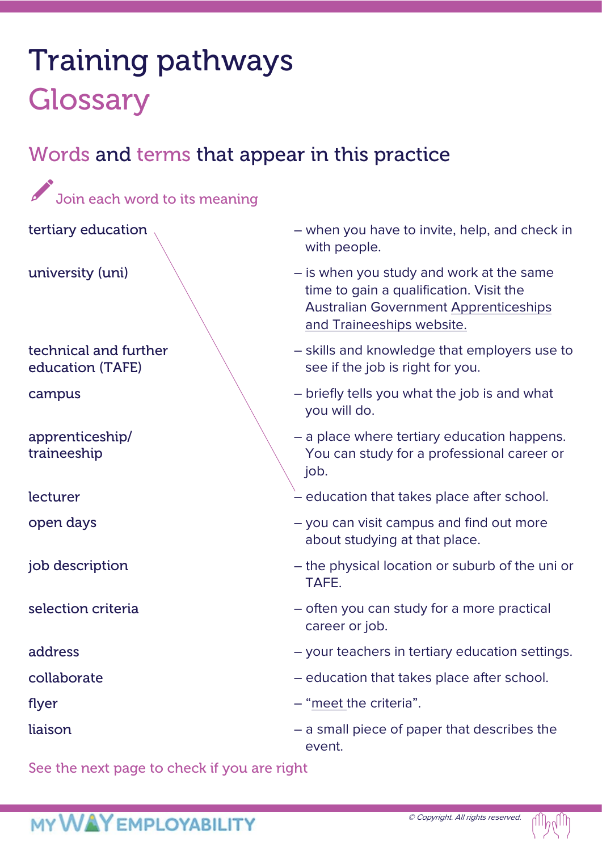# Training pathways **Glossary**

### Words and terms that appear in this practice

| Join each word to its meaning             |                                                                                                                                                                  |  |  |  |
|-------------------------------------------|------------------------------------------------------------------------------------------------------------------------------------------------------------------|--|--|--|
| tertiary education                        | - when you have to invite, help, and check in<br>with people.                                                                                                    |  |  |  |
| university (uni)                          | - is when you study and work at the same<br>time to gain a qualification. Visit the<br><b>Australian Government Apprenticeships</b><br>and Traineeships website. |  |  |  |
| technical and further<br>education (TAFE) | - skills and knowledge that employers use to<br>see if the job is right for you.                                                                                 |  |  |  |
| campus                                    | - briefly tells you what the job is and what<br>you will do.                                                                                                     |  |  |  |
| apprenticeship/<br>traineeship            | - a place where tertiary education happens.<br>You can study for a professional career or<br>job.                                                                |  |  |  |
| lecturer                                  | - education that takes place after school.                                                                                                                       |  |  |  |
| open days                                 | - you can visit campus and find out more<br>about studying at that place.                                                                                        |  |  |  |
| job description                           | - the physical location or suburb of the uni or<br>TAFE.                                                                                                         |  |  |  |
| selection criteria                        | - often you can study for a more practical<br>career or job.                                                                                                     |  |  |  |
| address                                   | - your teachers in tertiary education settings.                                                                                                                  |  |  |  |
| collaborate                               | - education that takes place after school.                                                                                                                       |  |  |  |
| flyer                                     | - "meet the criteria".                                                                                                                                           |  |  |  |
| liaison                                   | - a small piece of paper that describes the<br>event.                                                                                                            |  |  |  |

See the next page to check if you are right

### **MY WAY EMPLOYABILITY**

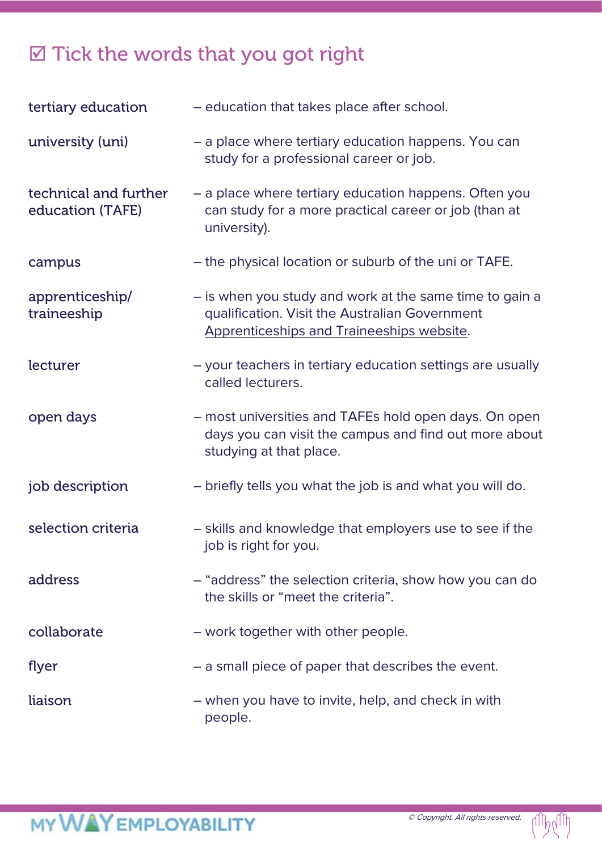#### $\boxtimes$  Tick the words that you got right

| tertiary education                        | - education that takes place after school.                                                                                                             |  |
|-------------------------------------------|--------------------------------------------------------------------------------------------------------------------------------------------------------|--|
| university (uni)                          | - a place where tertiary education happens. You can<br>study for a professional career or job.                                                         |  |
| technical and further<br>education (TAFE) | - a place where tertiary education happens. Often you<br>can study for a more practical career or job (than at<br>university).                         |  |
| campus                                    | - the physical location or suburb of the uni or TAFE.                                                                                                  |  |
| apprenticeship/<br>traineeship            | - is when you study and work at the same time to gain a<br>qualification. Visit the Australian Government<br>Apprenticeships and Traineeships website. |  |
| lecturer                                  | - your teachers in tertiary education settings are usually<br>called lecturers.                                                                        |  |
| open days                                 | - most universities and TAFEs hold open days. On open<br>days you can visit the campus and find out more about<br>studying at that place.              |  |
| job description                           | - briefly tells you what the job is and what you will do.                                                                                              |  |
| selection criteria                        | - skills and knowledge that employers use to see if the<br>job is right for you.                                                                       |  |
| address                                   | - "address" the selection criteria, show how you can do<br>the skills or "meet the criteria".                                                          |  |
| collaborate                               | - work together with other people.                                                                                                                     |  |
| flyer                                     | - a small piece of paper that describes the event.                                                                                                     |  |
| liaison                                   | - when you have to invite, help, and check in with<br>people.                                                                                          |  |

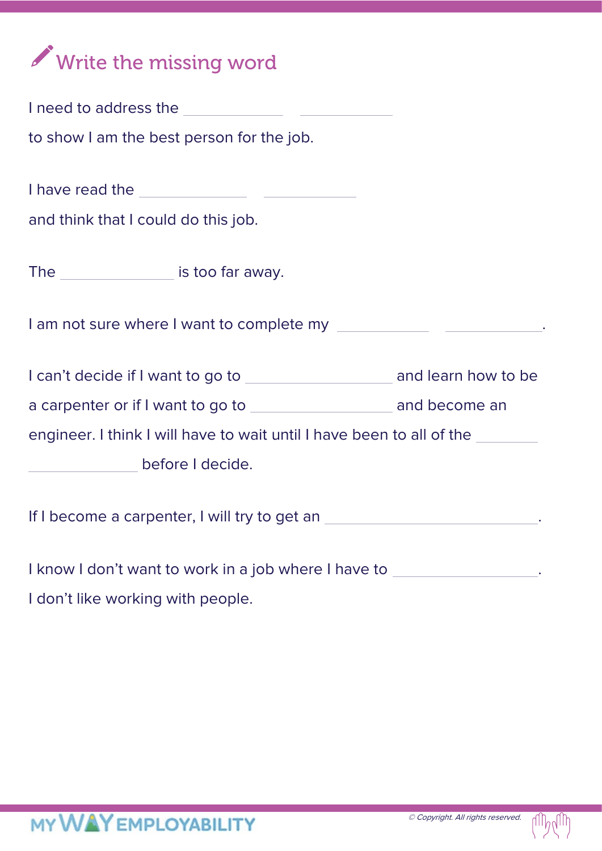

| to show I am the best person for the job.                                        |  |  |  |  |
|----------------------------------------------------------------------------------|--|--|--|--|
|                                                                                  |  |  |  |  |
|                                                                                  |  |  |  |  |
| and think that I could do this job.                                              |  |  |  |  |
| The is too far away.                                                             |  |  |  |  |
| I am not sure where I want to complete my ________________________________.      |  |  |  |  |
|                                                                                  |  |  |  |  |
|                                                                                  |  |  |  |  |
| engineer. I think I will have to wait until I have been to all of the            |  |  |  |  |
| before I decide.                                                                 |  |  |  |  |
| If I become a carpenter, I will try to get an _________________________________. |  |  |  |  |
| I know I don't want to work in a job where I have to                             |  |  |  |  |

I don't like working with people.

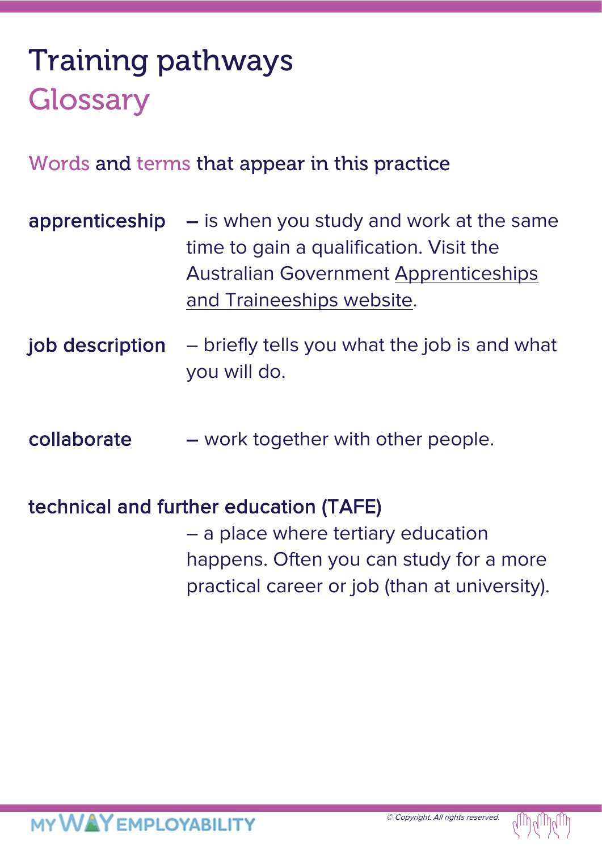# Training pathways **Glossary**

#### Words and terms that appear in this practice

- apprenticeship  $-$  is when you study and work at the same time to gain a qualification. Visit the Australian Government [Apprenticeships](https://www.dese.gov.au/skills-support-individuals/apprenticeships-and-traineeships#:%7E:text=An%20Australian%20Apprenticeship%20%E2%80%93%20that%20is,and%20skills%20into%20a%20business.)  [and Traineeships website.](https://www.dese.gov.au/skills-support-individuals/apprenticeships-and-traineeships#:%7E:text=An%20Australian%20Apprenticeship%20%E2%80%93%20that%20is,and%20skills%20into%20a%20business.)
- job description briefly tells you what the job is and what you will do.
- collaborate work together with other people.

#### technical and further education (TAFE)

– a place where tertiary education happens. Often you can study for a more practical career or job (than at university).

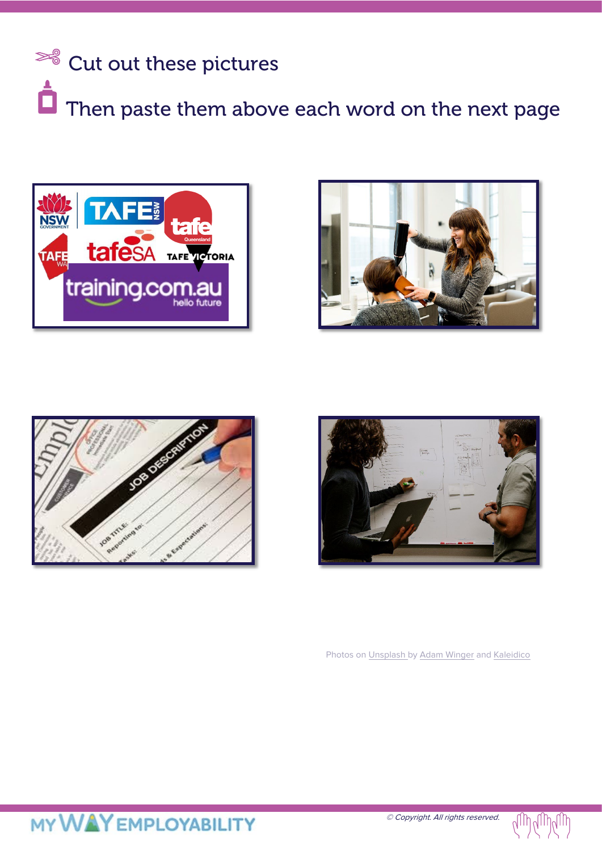









Photos on [Unsplash](https://unsplash.com/s/photos/hairdresser?utm_source=unsplash&utm_medium=referral&utm_content=creditCopyText) b[y Adam Winger](https://unsplash.com/@awcreativeut?utm_source=unsplash&utm_medium=referral&utm_content=creditCopyText) and [Kaleidico](https://unsplash.com/@kaleidico?utm_source=unsplash&utm_medium=referral&utm_content=creditCopyText)